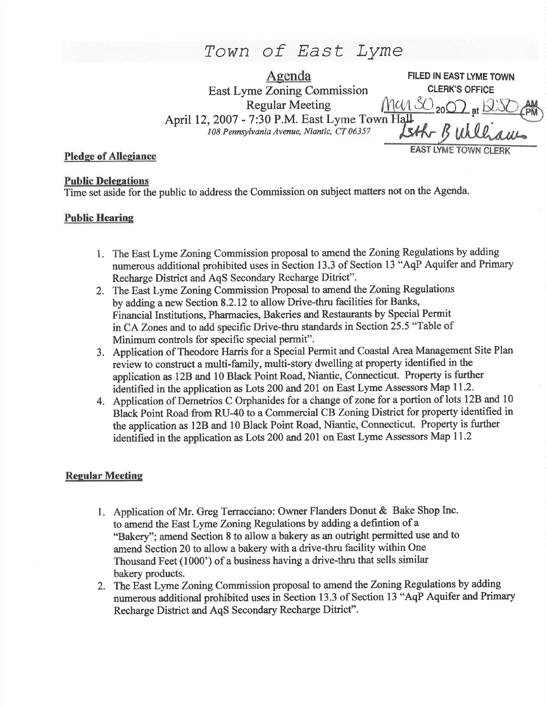# Town of East Lyme

Agenda<br> **Agenda FILED IN EAST LYME TOWN**<br> **Zoning Commission CLERK'S OFFICE** East Lyme Zoning Commission<br>Regular Meeting  $man\&_{20}O$ <sub>at</sub> Regular Meeting  $\frac{1}{2000}$  at April 12, 2007 - 7:30 P.M. East Lyme Town Hall  $\frac{V}{C}$  Town Hall  $\frac{V}{S}$ 108 Pennsylvania Avenue, Niantic, CT 06357 EAST LYME TOWN CI

## Pledge of Allegiance

#### Public Delegations

fime set aside for the public to address the Commission on subject matters not on the Agenda.

## Public Hearine

- 1. The East Lyme Zoning Commission proposal to amend the Zoning Regulations by adding numerous additional prohibited uses in Section 13.3 of Section 13 "AqP Aquifer and Primary Recharge District and AqS Secondary Rccharge Ditrict".
- 2. The East Lyme Zoning Commission Proposal to amend the Zoning Regulations by adding a new Section 8.2.12 to allow Drive-thru facilities for Banks, Financial Institutions, Pharmacies, Bakeries and Restaurants by Special Permit in CA Zones and to add specific Drive-thru standards in Section 25.5 "Table of Minimum controls for specific special permit".
- 3. Application of Theodore Harris for a Special Permit and Coastal Area Management Site Plan review to construct a multi-family, multi-story dwetling at property identified in the application as 12B and 10 Black Point Road, Niantic, Connecticut. Property is finther identified in the application as Lots 200 and 201 on East Lyme Assessors Map 11.2.
- 4. Application of Demetrios C Orphanides for a change of zone for a portion of lots 12B and <sup>10</sup> Black Point Road from RU-40 to a Commercial CB Zoning District for property identified in the application as 128 and l0 Black Point Road, Niantic, Connecticut. Property is further identified in the application as Lots 200 and 201 on East Lyme Assessors Map 11.2

### **Regular Meeting**

- 1. Application of Mr. Greg Terracciano: Owner Flanders Donut & Bake Shop Inc. to amend the East Lyme Zoning Regulations by adding a defintion of a "Bakery"; amend Section 8 to allow a bakery as an outright permitted use and to amend Section 20 to allow a bakery with a drive-thru facility within One Thousand Feet (1000') of a business having a drive-thru that sells similar bakery products.
- 2. The East Lyme Zoning Commission proposal to amend the Zoning Regulations by adding numerous additional prohibited uses in Section 13.3 of Section 13 "AqP Aquifer and Primary Recharge District and AqS Secondary Recharge Ditrict".